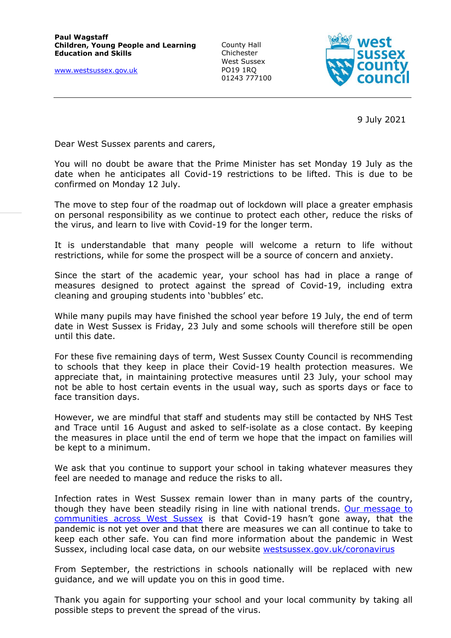[www.westsussex.gov.uk](http://www.westsussex.gov.uk/)

County Hall **Chichester** West Sussex PO19 1RQ 01243 777100



9 July 2021

Dear West Sussex parents and carers,

You will no doubt be aware that the Prime Minister has set Monday 19 July as the date when he anticipates all Covid-19 restrictions to be lifted. This is due to be confirmed on Monday 12 July.

The move to step four of the roadmap out of lockdown will place a greater emphasis on personal responsibility as we continue to protect each other, reduce the risks of the virus, and learn to live with Covid-19 for the longer term.

It is understandable that many people will welcome a return to life without restrictions, while for some the prospect will be a source of concern and anxiety.

Since the start of the academic year, your school has had in place a range of measures designed to protect against the spread of Covid-19, including extra cleaning and grouping students into 'bubbles' etc.

While many pupils may have finished the school year before 19 July, the end of term date in West Sussex is Friday, 23 July and some schools will therefore still be open until this date.

For these five remaining days of term, West Sussex County Council is recommending to schools that they keep in place their Covid-19 health protection measures. We appreciate that, in maintaining protective measures until 23 July, your school may not be able to host certain events in the usual way, such as sports days or face to face transition days.

However, we are mindful that staff and students may still be contacted by NHS Test and Trace until 16 August and asked to self-isolate as a close contact. By keeping the measures in place until the end of term we hope that the impact on families will be kept to a minimum.

We ask that you continue to support your school in taking whatever measures they feel are needed to manage and reduce the risks to all.

Infection rates in West Sussex remain lower than in many parts of the country, though they have been steadily rising in line with national trends. Our message to [communities across West Sussex](https://www.westsussex.gov.uk/news/continue-to-play-your-part-to-stop-the-spread-of-covid-19-urge-public-health-leaders/) is that Covid-19 hasn't gone away, that the pandemic is not yet over and that there are measures we can all continue to take to keep each other safe. You can find more information about the pandemic in West Sussex, including local case data, on our website [westsussex.gov.uk/coronavirus](http://www.westsussex.gov.uk/coronavirus)

From September, the restrictions in schools nationally will be replaced with new guidance, and we will update you on this in good time.

Thank you again for supporting your school and your local community by taking all possible steps to prevent the spread of the virus.